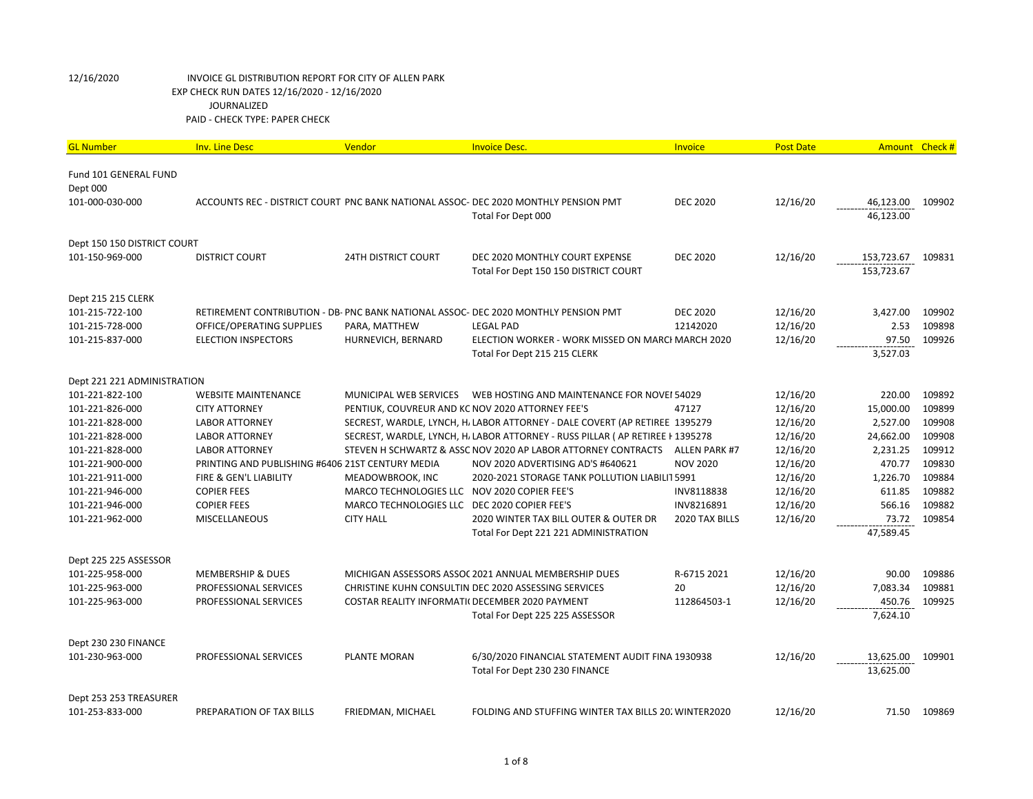| <b>GL Number</b>            | <b>Inv. Line Desc</b>                            | Vendor                                           | <b>Invoice Desc.</b>                                                                | Invoice              | <b>Post Date</b> | Amount Check # |              |
|-----------------------------|--------------------------------------------------|--------------------------------------------------|-------------------------------------------------------------------------------------|----------------------|------------------|----------------|--------------|
| Fund 101 GENERAL FUND       |                                                  |                                                  |                                                                                     |                      |                  |                |              |
| Dept 000                    |                                                  |                                                  |                                                                                     |                      |                  |                |              |
| 101-000-030-000             |                                                  |                                                  | ACCOUNTS REC - DISTRICT COURT PNC BANK NATIONAL ASSOC- DEC 2020 MONTHLY PENSION PMT | <b>DEC 2020</b>      | 12/16/20         | 46,123.00      | 109902       |
|                             |                                                  |                                                  | Total For Dept 000                                                                  |                      |                  | 46,123.00      |              |
| Dept 150 150 DISTRICT COURT |                                                  |                                                  |                                                                                     |                      |                  |                |              |
| 101-150-969-000             | DISTRICT COURT                                   | 24TH DISTRICT COURT                              | DEC 2020 MONTHLY COURT EXPENSE                                                      | <b>DEC 2020</b>      | 12/16/20         | 153,723.67     | 109831       |
|                             |                                                  |                                                  | Total For Dept 150 150 DISTRICT COURT                                               |                      |                  | 153,723.67     |              |
| Dept 215 215 CLERK          |                                                  |                                                  |                                                                                     |                      |                  |                |              |
| 101-215-722-100             |                                                  |                                                  | RETIREMENT CONTRIBUTION - DB- PNC BANK NATIONAL ASSOC- DEC 2020 MONTHLY PENSION PMT | <b>DEC 2020</b>      | 12/16/20         | 3,427.00       | 109902       |
| 101-215-728-000             | OFFICE/OPERATING SUPPLIES                        | PARA, MATTHEW                                    | <b>LEGAL PAD</b>                                                                    | 12142020             | 12/16/20         | 2.53           | 109898       |
| 101-215-837-000             | <b>ELECTION INSPECTORS</b>                       | HURNEVICH, BERNARD                               | ELECTION WORKER - WORK MISSED ON MARCHMARCH 2020                                    |                      | 12/16/20         | 97.50          | 109926       |
|                             |                                                  |                                                  | Total For Dept 215 215 CLERK                                                        |                      |                  | 3,527.03       |              |
| Dept 221 221 ADMINISTRATION |                                                  |                                                  |                                                                                     |                      |                  |                |              |
| 101-221-822-100             | <b>WEBSITE MAINTENANCE</b>                       | MUNICIPAL WEB SERVICES                           | WEB HOSTING AND MAINTENANCE FOR NOVEI 54029                                         |                      | 12/16/20         | 220.00         | 109892       |
| 101-221-826-000             | <b>CITY ATTORNEY</b>                             | PENTIUK, COUVREUR AND KC NOV 2020 ATTORNEY FEE'S |                                                                                     | 47127                | 12/16/20         | 15,000.00      | 109899       |
| 101-221-828-000             | <b>LABOR ATTORNEY</b>                            |                                                  | SECREST, WARDLE, LYNCH, H. LABOR ATTORNEY - DALE COVERT (AP RETIREE 1395279         |                      | 12/16/20         | 2,527.00       | 109908       |
| 101-221-828-000             | <b>LABOR ATTORNEY</b>                            |                                                  | SECREST, WARDLE, LYNCH, H. LABOR ATTORNEY - RUSS PILLAR (AP RETIREE F1395278        |                      | 12/16/20         | 24,662.00      | 109908       |
| 101-221-828-000             | <b>LABOR ATTORNEY</b>                            |                                                  | STEVEN H SCHWARTZ & ASSC NOV 2020 AP LABOR ATTORNEY CONTRACTS                       | <b>ALLEN PARK #7</b> | 12/16/20         | 2,231.25       | 109912       |
| 101-221-900-000             | PRINTING AND PUBLISHING #6406 21ST CENTURY MEDIA |                                                  | NOV 2020 ADVERTISING AD'S #640621                                                   | <b>NOV 2020</b>      | 12/16/20         | 470.77         | 109830       |
| 101-221-911-000             | FIRE & GEN'L LIABILITY                           | MEADOWBROOK, INC                                 | 2020-2021 STORAGE TANK POLLUTION LIABILIT 5991                                      |                      | 12/16/20         | 1,226.70       | 109884       |
| 101-221-946-000             | <b>COPIER FEES</b>                               | MARCO TECHNOLOGIES LLC NOV 2020 COPIER FEE'S     |                                                                                     | INV8118838           | 12/16/20         | 611.85         | 109882       |
| 101-221-946-000             | <b>COPIER FEES</b>                               | MARCO TECHNOLOGIES LLC DEC 2020 COPIER FEE'S     |                                                                                     | INV8216891           | 12/16/20         | 566.16         | 109882       |
| 101-221-962-000             | <b>MISCELLANEOUS</b>                             | <b>CITY HALL</b>                                 | 2020 WINTER TAX BILL OUTER & OUTER DR                                               | 2020 TAX BILLS       | 12/16/20         | 73.72          | 109854       |
|                             |                                                  |                                                  | Total For Dept 221 221 ADMINISTRATION                                               |                      |                  | 47,589.45      |              |
| Dept 225 225 ASSESSOR       |                                                  |                                                  |                                                                                     |                      |                  |                |              |
| 101-225-958-000             | <b>MEMBERSHIP &amp; DUES</b>                     |                                                  | MICHIGAN ASSESSORS ASSOC 2021 ANNUAL MEMBERSHIP DUES                                | R-6715 2021          | 12/16/20         | 90.00          | 109886       |
| 101-225-963-000             | PROFESSIONAL SERVICES                            |                                                  | CHRISTINE KUHN CONSULTIN DEC 2020 ASSESSING SERVICES                                | 20                   | 12/16/20         | 7,083.34       | 109881       |
| 101-225-963-000             | PROFESSIONAL SERVICES                            | COSTAR REALITY INFORMATI( DECEMBER 2020 PAYMENT  |                                                                                     | 112864503-1          | 12/16/20         | 450.76         | 109925       |
|                             |                                                  |                                                  | Total For Dept 225 225 ASSESSOR                                                     |                      |                  | 7,624.10       |              |
| Dept 230 230 FINANCE        |                                                  |                                                  |                                                                                     |                      |                  |                |              |
| 101-230-963-000             | <b>PROFESSIONAL SERVICES</b>                     | <b>PLANTE MORAN</b>                              | 6/30/2020 FINANCIAL STATEMENT AUDIT FINA 1930938                                    |                      | 12/16/20         | 13,625.00      | 109901       |
|                             |                                                  |                                                  | Total For Dept 230 230 FINANCE                                                      |                      |                  | 13,625.00      |              |
| Dept 253 253 TREASURER      |                                                  |                                                  |                                                                                     |                      |                  |                |              |
| 101-253-833-000             | PREPARATION OF TAX BILLS                         | FRIEDMAN, MICHAEL                                | FOLDING AND STUFFING WINTER TAX BILLS 20. WINTER2020                                |                      | 12/16/20         |                | 71.50 109869 |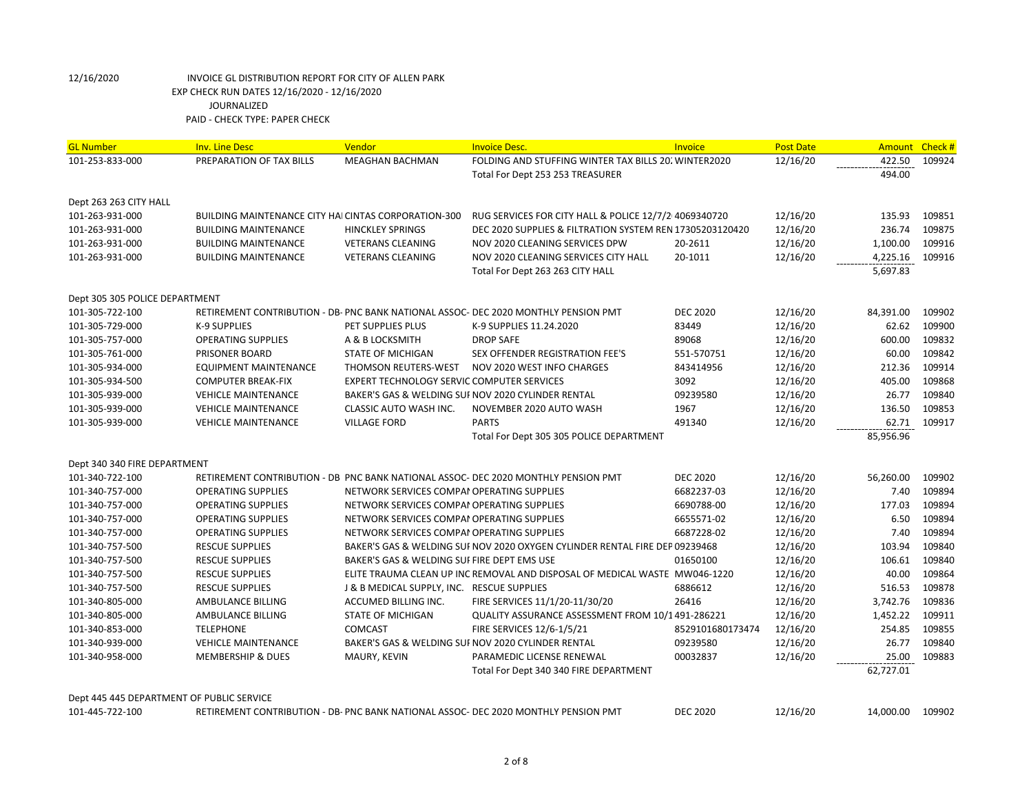| <b>GL Number</b>                          | <b>Inv. Line Desc</b>                                      | Vendor                                      | <b>Invoice Desc.</b>                                                                | Invoice          | <b>Post Date</b> | <b>Amount</b> | Check# |
|-------------------------------------------|------------------------------------------------------------|---------------------------------------------|-------------------------------------------------------------------------------------|------------------|------------------|---------------|--------|
| 101-253-833-000                           | PREPARATION OF TAX BILLS                                   | <b>MEAGHAN BACHMAN</b>                      | FOLDING AND STUFFING WINTER TAX BILLS 20. WINTER2020                                |                  | 12/16/20         | 422.50        | 109924 |
|                                           |                                                            |                                             | Total For Dept 253 253 TREASURER                                                    |                  |                  | 494.00        |        |
|                                           |                                                            |                                             |                                                                                     |                  |                  |               |        |
| Dept 263 263 CITY HALL                    |                                                            |                                             |                                                                                     |                  |                  |               |        |
| 101-263-931-000                           | <b>BUILDING MAINTENANCE CITY HALCINTAS CORPORATION-300</b> |                                             | RUG SERVICES FOR CITY HALL & POLICE 12/7/2 4069340720                               |                  | 12/16/20         | 135.93        | 109851 |
| 101-263-931-000                           | <b>BUILDING MAINTENANCE</b>                                | <b>HINCKLEY SPRINGS</b>                     | DEC 2020 SUPPLIES & FILTRATION SYSTEM REN 17305203120420                            |                  | 12/16/20         | 236.74        | 109875 |
| 101-263-931-000                           | <b>BUILDING MAINTENANCE</b>                                | <b>VETERANS CLEANING</b>                    | NOV 2020 CLEANING SERVICES DPW                                                      | 20-2611          | 12/16/20         | 1,100.00      | 109916 |
| 101-263-931-000                           | <b>BUILDING MAINTENANCE</b>                                | <b>VETERANS CLEANING</b>                    | NOV 2020 CLEANING SERVICES CITY HALL                                                | 20-1011          | 12/16/20         | 4,225.16      | 109916 |
|                                           |                                                            |                                             | Total For Dept 263 263 CITY HALL                                                    |                  |                  | 5,697.83      |        |
| Dept 305 305 POLICE DEPARTMENT            |                                                            |                                             |                                                                                     |                  |                  |               |        |
| 101-305-722-100                           |                                                            |                                             | RETIREMENT CONTRIBUTION - DB- PNC BANK NATIONAL ASSOC- DEC 2020 MONTHLY PENSION PMT | <b>DEC 2020</b>  | 12/16/20         | 84,391.00     | 109902 |
| 101-305-729-000                           | <b>K-9 SUPPLIES</b>                                        | PET SUPPLIES PLUS                           | K-9 SUPPLIES 11.24.2020                                                             | 83449            | 12/16/20         | 62.62         | 109900 |
| 101-305-757-000                           | <b>OPERATING SUPPLIES</b>                                  | A & B LOCKSMITH                             | <b>DROP SAFE</b>                                                                    | 89068            | 12/16/20         | 600.00        | 109832 |
| 101-305-761-000                           | PRISONER BOARD                                             | <b>STATE OF MICHIGAN</b>                    | SEX OFFENDER REGISTRATION FEE'S                                                     | 551-570751       | 12/16/20         | 60.00         | 109842 |
| 101-305-934-000                           | EQUIPMENT MAINTENANCE                                      | THOMSON REUTERS-WEST                        | NOV 2020 WEST INFO CHARGES                                                          | 843414956        | 12/16/20         | 212.36        | 109914 |
| 101-305-934-500                           | <b>COMPUTER BREAK-FIX</b>                                  | EXPERT TECHNOLOGY SERVIC COMPUTER SERVICES  |                                                                                     | 3092             | 12/16/20         | 405.00        | 109868 |
| 101-305-939-000                           | <b>VEHICLE MAINTENANCE</b>                                 |                                             | BAKER'S GAS & WELDING SUI NOV 2020 CYLINDER RENTAL                                  | 09239580         | 12/16/20         | 26.77         | 109840 |
| 101-305-939-000                           | <b>VEHICLE MAINTENANCE</b>                                 | CLASSIC AUTO WASH INC.                      | NOVEMBER 2020 AUTO WASH                                                             | 1967             | 12/16/20         | 136.50        | 109853 |
| 101-305-939-000                           | <b>VEHICLE MAINTENANCE</b>                                 | <b>VILLAGE FORD</b>                         | <b>PARTS</b>                                                                        | 491340           | 12/16/20         | 62.71         | 109917 |
|                                           |                                                            |                                             | Total For Dept 305 305 POLICE DEPARTMENT                                            |                  |                  | 85,956.96     |        |
|                                           |                                                            |                                             |                                                                                     |                  |                  |               |        |
| Dept 340 340 FIRE DEPARTMENT              |                                                            |                                             |                                                                                     |                  |                  |               |        |
| 101-340-722-100                           |                                                            |                                             | RETIREMENT CONTRIBUTION - DB PNC BANK NATIONAL ASSOC- DEC 2020 MONTHLY PENSION PMT  | <b>DEC 2020</b>  | 12/16/20         | 56,260.00     | 109902 |
| 101-340-757-000                           | <b>OPERATING SUPPLIES</b>                                  | NETWORK SERVICES COMPAI OPERATING SUPPLIES  |                                                                                     | 6682237-03       | 12/16/20         | 7.40          | 109894 |
| 101-340-757-000                           | <b>OPERATING SUPPLIES</b>                                  | NETWORK SERVICES COMPAI OPERATING SUPPLIES  |                                                                                     | 6690788-00       | 12/16/20         | 177.03        | 109894 |
| 101-340-757-000                           | <b>OPERATING SUPPLIES</b>                                  | NETWORK SERVICES COMPAI OPERATING SUPPLIES  |                                                                                     | 6655571-02       | 12/16/20         | 6.50          | 109894 |
| 101-340-757-000                           | <b>OPERATING SUPPLIES</b>                                  | NETWORK SERVICES COMPAI OPERATING SUPPLIES  |                                                                                     | 6687228-02       | 12/16/20         | 7.40          | 109894 |
| 101-340-757-500                           | <b>RESCUE SUPPLIES</b>                                     |                                             | BAKER'S GAS & WELDING SUI NOV 2020 OXYGEN CYLINDER RENTAL FIRE DEP 09239468         |                  | 12/16/20         | 103.94        | 109840 |
| 101-340-757-500                           | <b>RESCUE SUPPLIES</b>                                     | BAKER'S GAS & WELDING SUI FIRE DEPT EMS USE |                                                                                     | 01650100         | 12/16/20         | 106.61        | 109840 |
| 101-340-757-500                           | <b>RESCUE SUPPLIES</b>                                     |                                             | ELITE TRAUMA CLEAN UP INC REMOVAL AND DISPOSAL OF MEDICAL WASTE MW046-1220          |                  | 12/16/20         | 40.00         | 109864 |
| 101-340-757-500                           | <b>RESCUE SUPPLIES</b>                                     | J & B MEDICAL SUPPLY, INC. RESCUE SUPPLIES  |                                                                                     | 6886612          | 12/16/20         | 516.53        | 109878 |
| 101-340-805-000                           | AMBULANCE BILLING                                          | ACCUMED BILLING INC.                        | FIRE SERVICES 11/1/20-11/30/20                                                      | 26416            | 12/16/20         | 3,742.76      | 109836 |
| 101-340-805-000                           | AMBULANCE BILLING                                          | <b>STATE OF MICHIGAN</b>                    | QUALITY ASSURANCE ASSESSMENT FROM 10/1491-286221                                    |                  | 12/16/20         | 1,452.22      | 109911 |
| 101-340-853-000                           | <b>TELEPHONE</b>                                           | COMCAST                                     | FIRE SERVICES 12/6-1/5/21                                                           | 8529101680173474 | 12/16/20         | 254.85        | 109855 |
| 101-340-939-000                           | <b>VEHICLE MAINTENANCE</b>                                 |                                             | BAKER'S GAS & WELDING SUI NOV 2020 CYLINDER RENTAL                                  | 09239580         | 12/16/20         | 26.77         | 109840 |
| 101-340-958-000                           | <b>MEMBERSHIP &amp; DUES</b>                               | MAURY, KEVIN                                | PARAMEDIC LICENSE RENEWAL                                                           | 00032837         | 12/16/20         | 25.00         | 109883 |
|                                           |                                                            |                                             | Total For Dept 340 340 FIRE DEPARTMENT                                              |                  |                  | 62,727.01     |        |
| Dept 445 445 DEPARTMENT OF PUBLIC SERVICE |                                                            |                                             |                                                                                     |                  |                  |               |        |
| 101-445-722-100                           |                                                            |                                             | RETIREMENT CONTRIBUTION - DB- PNC BANK NATIONAL ASSOC- DEC 2020 MONTHLY PENSION PMT | <b>DEC 2020</b>  | 12/16/20         | 14,000.00     | 109902 |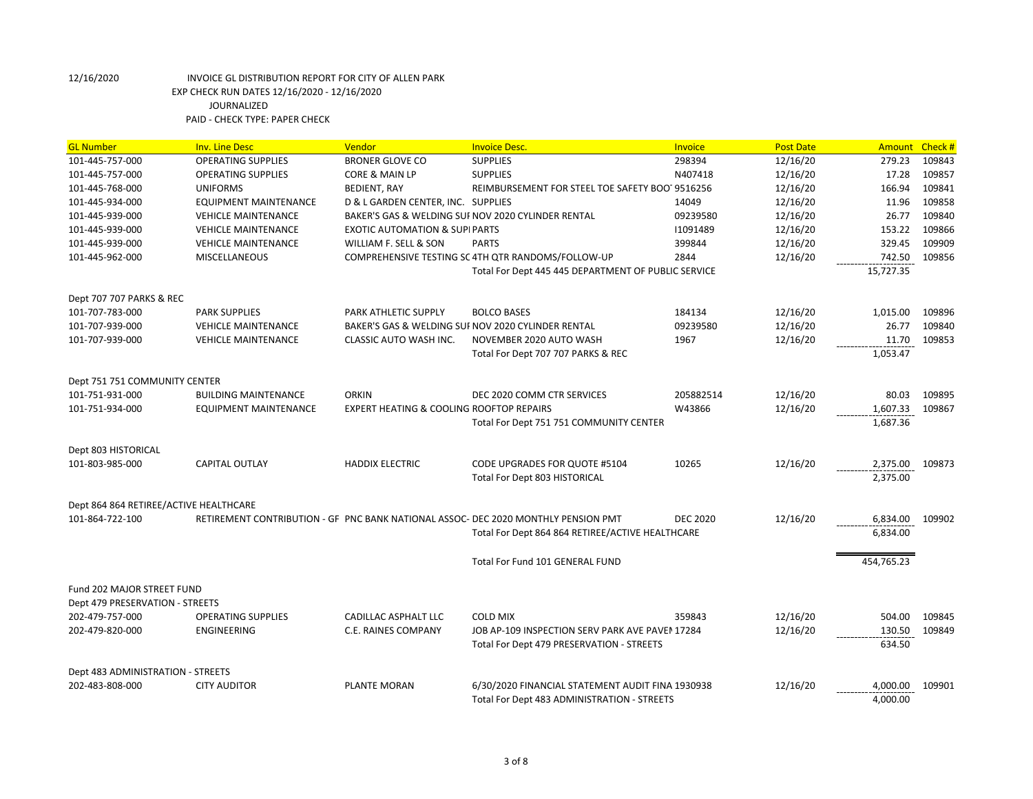| <b>GL Number</b>                       | <b>Inv. Line Desc</b>        | Vendor                                    | <b>Invoice Desc.</b>                                                               | Invoice         | <b>Post Date</b> | Amount Check # |        |
|----------------------------------------|------------------------------|-------------------------------------------|------------------------------------------------------------------------------------|-----------------|------------------|----------------|--------|
| 101-445-757-000                        | <b>OPERATING SUPPLIES</b>    | <b>BRONER GLOVE CO</b>                    | <b>SUPPLIES</b>                                                                    | 298394          | 12/16/20         | 279.23         | 109843 |
| 101-445-757-000                        | <b>OPERATING SUPPLIES</b>    | CORE & MAIN LP                            | <b>SUPPLIES</b>                                                                    | N407418         | 12/16/20         | 17.28          | 109857 |
| 101-445-768-000                        | <b>UNIFORMS</b>              | <b>BEDIENT, RAY</b>                       | REIMBURSEMENT FOR STEEL TOE SAFETY BOO19516256                                     |                 | 12/16/20         | 166.94         | 109841 |
| 101-445-934-000                        | EQUIPMENT MAINTENANCE        | D & L GARDEN CENTER, INC. SUPPLIES        |                                                                                    | 14049           | 12/16/20         | 11.96          | 109858 |
| 101-445-939-000                        | <b>VEHICLE MAINTENANCE</b>   |                                           | BAKER'S GAS & WELDING SUI NOV 2020 CYLINDER RENTAL                                 | 09239580        | 12/16/20         | 26.77          | 109840 |
| 101-445-939-000                        | <b>VEHICLE MAINTENANCE</b>   | <b>EXOTIC AUTOMATION &amp; SUPI PARTS</b> |                                                                                    | 11091489        | 12/16/20         | 153.22         | 109866 |
| 101-445-939-000                        | <b>VEHICLE MAINTENANCE</b>   | WILLIAM F. SELL & SON                     | <b>PARTS</b>                                                                       | 399844          | 12/16/20         | 329.45         | 109909 |
| 101-445-962-000                        | <b>MISCELLANEOUS</b>         |                                           | COMPREHENSIVE TESTING SC 4TH QTR RANDOMS/FOLLOW-UP                                 | 2844            | 12/16/20         | 742.50         | 109856 |
|                                        |                              |                                           | Total For Dept 445 445 DEPARTMENT OF PUBLIC SERVICE                                |                 |                  | 15,727.35      |        |
| Dept 707 707 PARKS & REC               |                              |                                           |                                                                                    |                 |                  |                |        |
| 101-707-783-000                        | <b>PARK SUPPLIES</b>         | <b>PARK ATHLETIC SUPPLY</b>               | <b>BOLCO BASES</b>                                                                 | 184134          | 12/16/20         | 1,015.00       | 109896 |
| 101-707-939-000                        | <b>VEHICLE MAINTENANCE</b>   |                                           | BAKER'S GAS & WELDING SUF NOV 2020 CYLINDER RENTAL                                 | 09239580        | 12/16/20         | 26.77          | 109840 |
| 101-707-939-000                        | <b>VEHICLE MAINTENANCE</b>   | CLASSIC AUTO WASH INC.                    | NOVEMBER 2020 AUTO WASH                                                            | 1967            | 12/16/20         | 11.70          | 109853 |
|                                        |                              |                                           | Total For Dept 707 707 PARKS & REC                                                 |                 |                  | 1,053.47       |        |
| Dept 751 751 COMMUNITY CENTER          |                              |                                           |                                                                                    |                 |                  |                |        |
| 101-751-931-000                        | <b>BUILDING MAINTENANCE</b>  | <b>ORKIN</b>                              | DEC 2020 COMM CTR SERVICES                                                         | 205882514       | 12/16/20         | 80.03          | 109895 |
| 101-751-934-000                        | <b>EQUIPMENT MAINTENANCE</b> | EXPERT HEATING & COOLING ROOFTOP REPAIRS  |                                                                                    | W43866          | 12/16/20         | 1,607.33       | 109867 |
|                                        |                              |                                           | Total For Dept 751 751 COMMUNITY CENTER                                            |                 |                  | 1,687.36       |        |
| Dept 803 HISTORICAL                    |                              |                                           |                                                                                    |                 |                  |                |        |
| 101-803-985-000                        | <b>CAPITAL OUTLAY</b>        | <b>HADDIX ELECTRIC</b>                    | CODE UPGRADES FOR QUOTE #5104                                                      | 10265           | 12/16/20         | 2,375.00       | 109873 |
|                                        |                              |                                           | <b>Total For Dept 803 HISTORICAL</b>                                               |                 |                  | 2,375.00       |        |
| Dept 864 864 RETIREE/ACTIVE HEALTHCARE |                              |                                           |                                                                                    |                 |                  |                |        |
| 101-864-722-100                        |                              |                                           | RETIREMENT CONTRIBUTION - GF PNC BANK NATIONAL ASSOC- DEC 2020 MONTHLY PENSION PMT | <b>DEC 2020</b> | 12/16/20         | 6,834.00       | 109902 |
|                                        |                              |                                           | Total For Dept 864 864 RETIREE/ACTIVE HEALTHCARE                                   |                 |                  | 6,834.00       |        |
|                                        |                              |                                           | Total For Fund 101 GENERAL FUND                                                    |                 |                  | 454,765.23     |        |
| Fund 202 MAJOR STREET FUND             |                              |                                           |                                                                                    |                 |                  |                |        |
| Dept 479 PRESERVATION - STREETS        |                              |                                           |                                                                                    |                 |                  |                |        |
| 202-479-757-000                        | <b>OPERATING SUPPLIES</b>    | CADILLAC ASPHALT LLC                      | <b>COLD MIX</b>                                                                    | 359843          | 12/16/20         | 504.00         | 109845 |
| 202-479-820-000                        | ENGINEERING                  | C.E. RAINES COMPANY                       | JOB AP-109 INSPECTION SERV PARK AVE PAVEN 17284                                    |                 | 12/16/20         | 130.50         | 109849 |
|                                        |                              |                                           | Total For Dept 479 PRESERVATION - STREETS                                          |                 |                  | 634.50         |        |
| Dept 483 ADMINISTRATION - STREETS      |                              |                                           |                                                                                    |                 |                  |                |        |
| 202-483-808-000                        | <b>CITY AUDITOR</b>          | PLANTE MORAN                              | 6/30/2020 FINANCIAL STATEMENT AUDIT FINA 1930938                                   |                 | 12/16/20         | 4,000.00       | 109901 |
|                                        |                              |                                           | Total For Dept 483 ADMINISTRATION - STREETS                                        |                 |                  | 4,000.00       |        |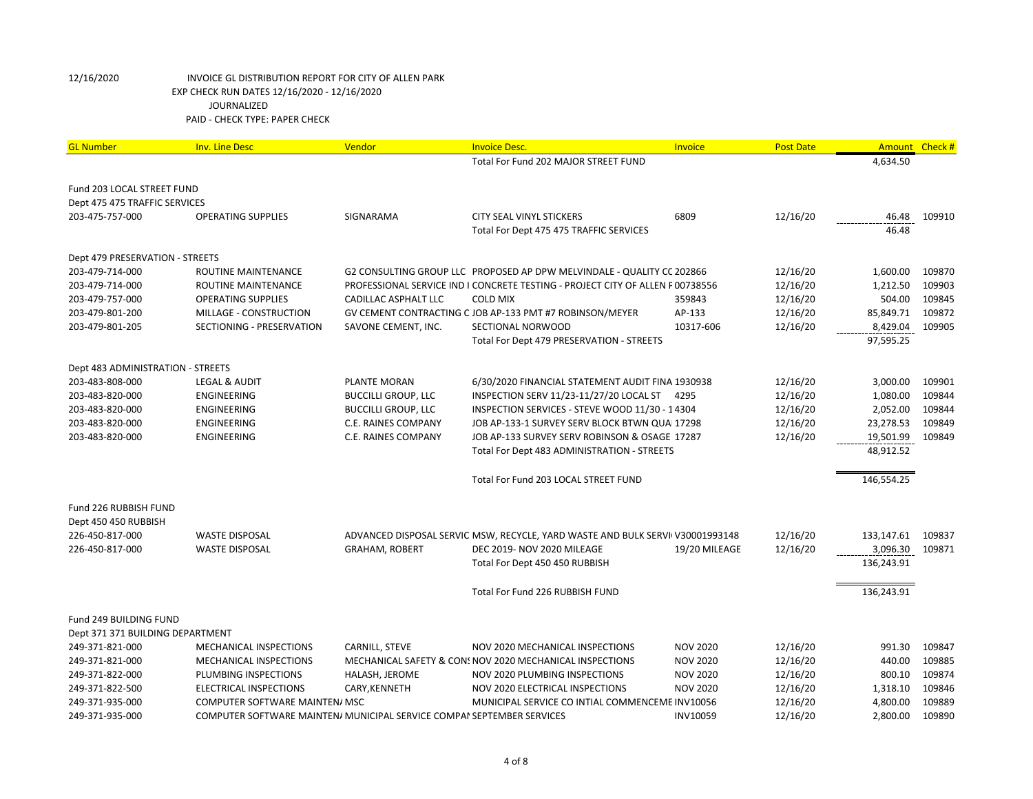| <b>GL Number</b>                   | <b>Inv. Line Desc</b>                                                  | Vendor                     | <b>Invoice Desc.</b>                                                           | <b>Invoice</b>                     | <b>Post Date</b> | <b>Amount</b> | Check# |
|------------------------------------|------------------------------------------------------------------------|----------------------------|--------------------------------------------------------------------------------|------------------------------------|------------------|---------------|--------|
|                                    |                                                                        |                            | Total For Fund 202 MAJOR STREET FUND                                           |                                    |                  | 4,634.50      |        |
|                                    |                                                                        |                            |                                                                                |                                    |                  |               |        |
| Fund 203 LOCAL STREET FUND         |                                                                        |                            |                                                                                |                                    |                  |               |        |
| Dept 475 475 TRAFFIC SERVICES      |                                                                        |                            |                                                                                |                                    |                  |               |        |
| 203-475-757-000                    | <b>OPERATING SUPPLIES</b>                                              | SIGNARAMA                  | CITY SEAL VINYL STICKERS                                                       | 6809                               | 12/16/20         | 46.48         | 109910 |
|                                    |                                                                        |                            | Total For Dept 475 475 TRAFFIC SERVICES                                        |                                    |                  | 46.48         |        |
| Dept 479 PRESERVATION - STREETS    |                                                                        |                            |                                                                                |                                    |                  |               |        |
| 203-479-714-000                    | ROUTINE MAINTENANCE                                                    |                            | G2 CONSULTING GROUP LLC PROPOSED AP DPW MELVINDALE - QUALITY CC 202866         |                                    | 12/16/20         | 1,600.00      | 109870 |
| 203-479-714-000                    | ROUTINE MAINTENANCE                                                    |                            | PROFESSIONAL SERVICE IND I CONCRETE TESTING - PROJECT CITY OF ALLEN P00738556  |                                    | 12/16/20         | 1,212.50      | 109903 |
| 203-479-757-000                    | <b>OPERATING SUPPLIES</b>                                              | CADILLAC ASPHALT LLC       | <b>COLD MIX</b>                                                                | 359843                             | 12/16/20         | 504.00        | 109845 |
| 203-479-801-200                    | MILLAGE - CONSTRUCTION                                                 |                            | GV CEMENT CONTRACTING C JOB AP-133 PMT #7 ROBINSON/MEYER                       | AP-133                             | 12/16/20         | 85,849.71     | 109872 |
| 203-479-801-205                    | SECTIONING - PRESERVATION                                              | SAVONE CEMENT, INC.        | SECTIONAL NORWOOD                                                              | 10317-606                          | 12/16/20         | 8,429.04      | 109905 |
|                                    |                                                                        |                            | Total For Dept 479 PRESERVATION - STREETS                                      |                                    |                  | 97,595.25     |        |
|                                    |                                                                        |                            |                                                                                |                                    |                  |               |        |
| Dept 483 ADMINISTRATION - STREETS  |                                                                        |                            |                                                                                |                                    |                  |               |        |
| 203-483-808-000                    | <b>LEGAL &amp; AUDIT</b>                                               | PLANTE MORAN               | 6/30/2020 FINANCIAL STATEMENT AUDIT FINA 1930938                               |                                    | 12/16/20         | 3,000.00      | 109901 |
| 203-483-820-000                    | ENGINEERING                                                            | <b>BUCCILLI GROUP, LLC</b> | INSPECTION SERV 11/23-11/27/20 LOCAL ST 4295                                   |                                    | 12/16/20         | 1,080.00      | 109844 |
| 203-483-820-000                    | ENGINEERING                                                            | <b>BUCCILLI GROUP, LLC</b> | INSPECTION SERVICES - STEVE WOOD 11/30 - 14304                                 |                                    | 12/16/20         | 2,052.00      | 109844 |
| 203-483-820-000                    | ENGINEERING                                                            | C.E. RAINES COMPANY        | JOB AP-133-1 SURVEY SERV BLOCK BTWN QUAI17298                                  |                                    | 12/16/20         | 23,278.53     | 109849 |
| 203-483-820-000                    | <b>ENGINEERING</b>                                                     | <b>C.E. RAINES COMPANY</b> | JOB AP-133 SURVEY SERV ROBINSON & OSAGE 17287                                  |                                    | 12/16/20         | 19,501.99     | 109849 |
|                                    |                                                                        |                            | Total For Dept 483 ADMINISTRATION - STREETS                                    |                                    |                  | 48,912.52     |        |
|                                    |                                                                        |                            |                                                                                |                                    |                  |               |        |
|                                    |                                                                        |                            | Total For Fund 203 LOCAL STREET FUND                                           |                                    |                  | 146,554.25    |        |
| Fund 226 RUBBISH FUND              |                                                                        |                            |                                                                                |                                    |                  |               |        |
| Dept 450 450 RUBBISH               |                                                                        |                            |                                                                                |                                    |                  |               |        |
| 226-450-817-000                    | <b>WASTE DISPOSAL</b>                                                  |                            | ADVANCED DISPOSAL SERVIC MSW, RECYCLE, YARD WASTE AND BULK SERVII V30001993148 |                                    | 12/16/20         | 133,147.61    | 109837 |
| 226-450-817-000                    | <b>WASTE DISPOSAL</b>                                                  | <b>GRAHAM, ROBERT</b>      | DEC 2019- NOV 2020 MILEAGE                                                     | 19/20 MILEAGE                      | 12/16/20         | 3,096.30      | 109871 |
|                                    |                                                                        |                            | Total For Dept 450 450 RUBBISH                                                 |                                    |                  | 136,243.91    |        |
|                                    |                                                                        |                            |                                                                                |                                    |                  |               |        |
|                                    |                                                                        |                            | Total For Fund 226 RUBBISH FUND                                                |                                    |                  | 136,243.91    |        |
|                                    |                                                                        |                            |                                                                                |                                    |                  |               |        |
| Fund 249 BUILDING FUND             |                                                                        |                            |                                                                                |                                    |                  |               |        |
| Dept 371 371 BUILDING DEPARTMENT   |                                                                        |                            | NOV 2020 MECHANICAL INSPECTIONS                                                |                                    | 12/16/20         | 991.30        | 109847 |
| 249-371-821-000<br>249-371-821-000 | MECHANICAL INSPECTIONS<br>MECHANICAL INSPECTIONS                       | CARNILL, STEVE             | MECHANICAL SAFETY & CON: NOV 2020 MECHANICAL INSPECTIONS                       | <b>NOV 2020</b><br><b>NOV 2020</b> | 12/16/20         | 440.00        | 109885 |
| 249-371-822-000                    | PLUMBING INSPECTIONS                                                   | HALASH, JEROME             | NOV 2020 PLUMBING INSPECTIONS                                                  | <b>NOV 2020</b>                    | 12/16/20         | 800.10        | 109874 |
| 249-371-822-500                    | <b>ELECTRICAL INSPECTIONS</b>                                          | CARY, KENNETH              | NOV 2020 ELECTRICAL INSPECTIONS                                                | <b>NOV 2020</b>                    | 12/16/20         | 1,318.10      | 109846 |
| 249-371-935-000                    | COMPUTER SOFTWARE MAINTEN/ MSC                                         |                            | MUNICIPAL SERVICE CO INTIAL COMMENCEME INV10056                                |                                    | 12/16/20         | 4,800.00      | 109889 |
| 249-371-935-000                    | COMPUTER SOFTWARE MAINTEN/ MUNICIPAL SERVICE COMPAI SEPTEMBER SERVICES |                            |                                                                                | INV10059                           | 12/16/20         | 2,800.00      | 109890 |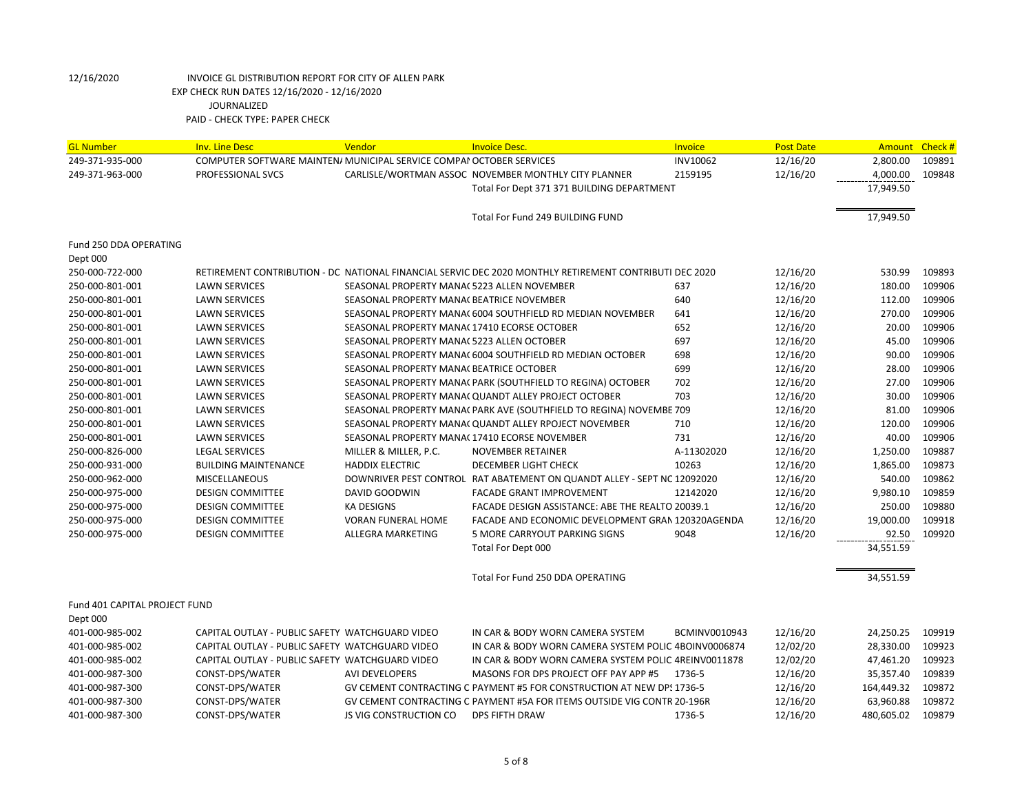| <b>GL Number</b>              | <b>Inv. Line Desc</b>                                                | Vendor                                       | <b>Invoice Desc.</b>                                                                                   | Invoice       | <b>Post Date</b> | Amount     | Check # |
|-------------------------------|----------------------------------------------------------------------|----------------------------------------------|--------------------------------------------------------------------------------------------------------|---------------|------------------|------------|---------|
| 249-371-935-000               | COMPUTER SOFTWARE MAINTEN/ MUNICIPAL SERVICE COMPAI OCTOBER SERVICES |                                              |                                                                                                        | INV10062      | 12/16/20         | 2,800.00   | 109891  |
| 249-371-963-000               | PROFESSIONAL SVCS                                                    |                                              | CARLISLE/WORTMAN ASSOC NOVEMBER MONTHLY CITY PLANNER                                                   | 2159195       | 12/16/20         | 4,000.00   | 109848  |
|                               |                                                                      |                                              | Total For Dept 371 371 BUILDING DEPARTMENT                                                             |               |                  | 17,949.50  |         |
|                               |                                                                      |                                              | Total For Fund 249 BUILDING FUND                                                                       |               |                  | 17,949.50  |         |
|                               |                                                                      |                                              |                                                                                                        |               |                  |            |         |
| Fund 250 DDA OPERATING        |                                                                      |                                              |                                                                                                        |               |                  |            |         |
| Dept 000                      |                                                                      |                                              |                                                                                                        |               |                  |            |         |
| 250-000-722-000               |                                                                      |                                              | RETIREMENT CONTRIBUTION - DC NATIONAL FINANCIAL SERVIC DEC 2020 MONTHLY RETIREMENT CONTRIBUTI DEC 2020 |               | 12/16/20         | 530.99     | 109893  |
| 250-000-801-001               | <b>LAWN SERVICES</b>                                                 | SEASONAL PROPERTY MANA(5223 ALLEN NOVEMBER   |                                                                                                        | 637           | 12/16/20         | 180.00     | 109906  |
| 250-000-801-001               | <b>LAWN SERVICES</b>                                                 | SEASONAL PROPERTY MANA(BEATRICE NOVEMBER     |                                                                                                        | 640           | 12/16/20         | 112.00     | 109906  |
| 250-000-801-001               | <b>LAWN SERVICES</b>                                                 |                                              | SEASONAL PROPERTY MANA(6004 SOUTHFIELD RD MEDIAN NOVEMBER                                              | 641           | 12/16/20         | 270.00     | 109906  |
| 250-000-801-001               | <b>LAWN SERVICES</b>                                                 | SEASONAL PROPERTY MANA(17410 ECORSE OCTOBER  |                                                                                                        | 652           | 12/16/20         | 20.00      | 109906  |
| 250-000-801-001               | <b>LAWN SERVICES</b>                                                 | SEASONAL PROPERTY MANA(5223 ALLEN OCTOBER    |                                                                                                        | 697           | 12/16/20         | 45.00      | 109906  |
| 250-000-801-001               | <b>LAWN SERVICES</b>                                                 |                                              | SEASONAL PROPERTY MANA(6004 SOUTHFIELD RD MEDIAN OCTOBER                                               | 698           | 12/16/20         | 90.00      | 109906  |
| 250-000-801-001               | <b>LAWN SERVICES</b>                                                 | SEASONAL PROPERTY MANA( BEATRICE OCTOBER     |                                                                                                        | 699           | 12/16/20         | 28.00      | 109906  |
| 250-000-801-001               | <b>LAWN SERVICES</b>                                                 |                                              | SEASONAL PROPERTY MANA( PARK (SOUTHFIELD TO REGINA) OCTOBER                                            | 702           | 12/16/20         | 27.00      | 109906  |
| 250-000-801-001               | <b>LAWN SERVICES</b>                                                 |                                              | SEASONAL PROPERTY MANA( QUANDT ALLEY PROJECT OCTOBER                                                   | 703           | 12/16/20         | 30.00      | 109906  |
| 250-000-801-001               | <b>LAWN SERVICES</b>                                                 |                                              | SEASONAL PROPERTY MANA( PARK AVE (SOUTHFIELD TO REGINA) NOVEMBE 709                                    |               | 12/16/20         | 81.00      | 109906  |
| 250-000-801-001               | <b>LAWN SERVICES</b>                                                 |                                              | SEASONAL PROPERTY MANA( QUANDT ALLEY RPOJECT NOVEMBER                                                  | 710           | 12/16/20         | 120.00     | 109906  |
| 250-000-801-001               | <b>LAWN SERVICES</b>                                                 | SEASONAL PROPERTY MANA(17410 ECORSE NOVEMBER |                                                                                                        | 731           | 12/16/20         | 40.00      | 109906  |
| 250-000-826-000               | <b>LEGAL SERVICES</b>                                                | MILLER & MILLER, P.C.                        | <b>NOVEMBER RETAINER</b>                                                                               | A-11302020    | 12/16/20         | 1,250.00   | 109887  |
| 250-000-931-000               | <b>BUILDING MAINTENANCE</b>                                          | <b>HADDIX ELECTRIC</b>                       | <b>DECEMBER LIGHT CHECK</b>                                                                            | 10263         | 12/16/20         | 1,865.00   | 109873  |
| 250-000-962-000               | <b>MISCELLANEOUS</b>                                                 |                                              | DOWNRIVER PEST CONTROL RAT ABATEMENT ON QUANDT ALLEY - SEPT NC 12092020                                |               | 12/16/20         | 540.00     | 109862  |
| 250-000-975-000               | <b>DESIGN COMMITTEE</b>                                              | <b>DAVID GOODWIN</b>                         | <b>FACADE GRANT IMPROVEMENT</b>                                                                        | 12142020      | 12/16/20         | 9,980.10   | 109859  |
| 250-000-975-000               | <b>DESIGN COMMITTEE</b>                                              | <b>KA DESIGNS</b>                            | FACADE DESIGN ASSISTANCE: ABE THE REALTO 20039.1                                                       |               | 12/16/20         | 250.00     | 109880  |
| 250-000-975-000               | <b>DESIGN COMMITTEE</b>                                              | <b>VORAN FUNERAL HOME</b>                    | FACADE AND ECONOMIC DEVELOPMENT GRAN 120320AGENDA                                                      |               | 12/16/20         | 19,000.00  | 109918  |
| 250-000-975-000               | <b>DESIGN COMMITTEE</b>                                              | ALLEGRA MARKETING                            | 5 MORE CARRYOUT PARKING SIGNS                                                                          | 9048          | 12/16/20         | 92.50      | 109920  |
|                               |                                                                      |                                              | Total For Dept 000                                                                                     |               |                  | 34,551.59  |         |
|                               |                                                                      |                                              | Total For Fund 250 DDA OPERATING                                                                       |               |                  | 34,551.59  |         |
| Fund 401 CAPITAL PROJECT FUND |                                                                      |                                              |                                                                                                        |               |                  |            |         |
| Dept 000                      |                                                                      |                                              |                                                                                                        |               |                  |            |         |
| 401-000-985-002               | CAPITAL OUTLAY - PUBLIC SAFETY WATCHGUARD VIDEO                      |                                              | IN CAR & BODY WORN CAMERA SYSTEM                                                                       | BCMINV0010943 | 12/16/20         | 24,250.25  | 109919  |
| 401-000-985-002               | CAPITAL OUTLAY - PUBLIC SAFETY WATCHGUARD VIDEO                      |                                              | IN CAR & BODY WORN CAMERA SYSTEM POLIC 4BOINV0006874                                                   |               | 12/02/20         | 28,330.00  | 109923  |
| 401-000-985-002               | CAPITAL OUTLAY - PUBLIC SAFETY WATCHGUARD VIDEO                      |                                              | IN CAR & BODY WORN CAMERA SYSTEM POLIC 4REINV0011878                                                   |               | 12/02/20         | 47,461.20  | 109923  |
| 401-000-987-300               | CONST-DPS/WATER                                                      | <b>AVI DEVELOPERS</b>                        | MASONS FOR DPS PROJECT OFF PAY APP #5                                                                  | 1736-5        | 12/16/20         | 35,357.40  | 109839  |
| 401-000-987-300               | CONST-DPS/WATER                                                      |                                              | GV CEMENT CONTRACTING C PAYMENT #5 FOR CONSTRUCTION AT NEW DPS 1736-5                                  |               | 12/16/20         | 164,449.32 | 109872  |
| 401-000-987-300               | CONST-DPS/WATER                                                      |                                              | GV CEMENT CONTRACTING C PAYMENT #5A FOR ITEMS OUTSIDE VIG CONTR 20-196R                                |               | 12/16/20         | 63,960.88  | 109872  |
| 401-000-987-300               | CONST-DPS/WATER                                                      | JS VIG CONSTRUCTION CO                       | <b>DPS FIFTH DRAW</b>                                                                                  | 1736-5        | 12/16/20         | 480,605.02 | 109879  |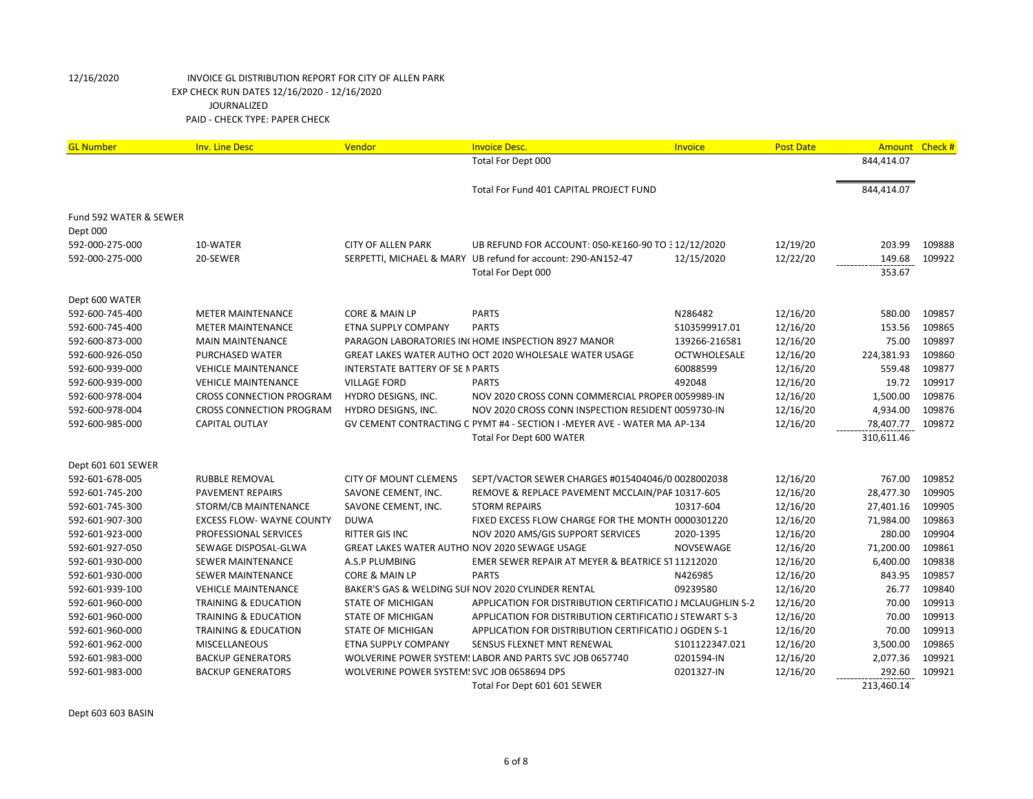| <b>GL Number</b>       | <b>Inv. Line Desc</b>            | Vendor                                        | <b>Invoice Desc.</b>                                                     | Invoice             | <b>Post Date</b> | Amount Check # |        |
|------------------------|----------------------------------|-----------------------------------------------|--------------------------------------------------------------------------|---------------------|------------------|----------------|--------|
|                        |                                  |                                               | Total For Dept 000                                                       |                     |                  | 844,414.07     |        |
|                        |                                  |                                               |                                                                          |                     |                  |                |        |
|                        |                                  |                                               | Total For Fund 401 CAPITAL PROJECT FUND                                  |                     |                  | 844,414.07     |        |
| Fund 592 WATER & SEWER |                                  |                                               |                                                                          |                     |                  |                |        |
| Dept 000               |                                  |                                               |                                                                          |                     |                  |                |        |
| 592-000-275-000        | 10-WATER                         | <b>CITY OF ALLEN PARK</b>                     | UB REFUND FOR ACCOUNT: 050-KE160-90 TO 312/12/2020                       |                     | 12/19/20         | 203.99         | 109888 |
| 592-000-275-000        | 20-SEWER                         |                                               | SERPETTI, MICHAEL & MARY UB refund for account: 290-AN152-47             | 12/15/2020          | 12/22/20         | 149.68         | 109922 |
|                        |                                  |                                               | Total For Dept 000                                                       |                     |                  | 353.67         |        |
| Dept 600 WATER         |                                  |                                               |                                                                          |                     |                  |                |        |
| 592-600-745-400        | <b>METER MAINTENANCE</b>         | CORE & MAIN LP                                | <b>PARTS</b>                                                             | N286482             | 12/16/20         | 580.00         | 109857 |
| 592-600-745-400        | <b>METER MAINTENANCE</b>         | ETNA SUPPLY COMPANY                           | <b>PARTS</b>                                                             | S103599917.01       | 12/16/20         | 153.56         | 109865 |
| 592-600-873-000        | <b>MAIN MAINTENANCE</b>          |                                               | PARAGON LABORATORIES IN HOME INSPECTION 8927 MANOR                       | 139266-216581       | 12/16/20         | 75.00          | 109897 |
| 592-600-926-050        | PURCHASED WATER                  |                                               | GREAT LAKES WATER AUTHO OCT 2020 WHOLESALE WATER USAGE                   | <b>OCTWHOLESALE</b> | 12/16/20         | 224,381.93     | 109860 |
| 592-600-939-000        | <b>VEHICLE MAINTENANCE</b>       | <b>INTERSTATE BATTERY OF SE N PARTS</b>       |                                                                          | 60088599            | 12/16/20         | 559.48         | 109877 |
| 592-600-939-000        | <b>VEHICLE MAINTENANCE</b>       | <b>VILLAGE FORD</b>                           | <b>PARTS</b>                                                             | 492048              | 12/16/20         | 19.72          | 109917 |
| 592-600-978-004        | <b>CROSS CONNECTION PROGRAM</b>  | HYDRO DESIGNS, INC.                           | NOV 2020 CROSS CONN COMMERCIAL PROPER 0059989-IN                         |                     | 12/16/20         | 1,500.00       | 109876 |
| 592-600-978-004        | <b>CROSS CONNECTION PROGRAM</b>  | HYDRO DESIGNS, INC.                           | NOV 2020 CROSS CONN INSPECTION RESIDENT 0059730-IN                       |                     | 12/16/20         | 4,934.00       | 109876 |
| 592-600-985-000        | CAPITAL OUTLAY                   |                                               | GV CEMENT CONTRACTING C PYMT #4 - SECTION I -MEYER AVE - WATER MA AP-134 |                     | 12/16/20         | 78,407.77      | 109872 |
|                        |                                  |                                               | Total For Dept 600 WATER                                                 |                     |                  | 310,611.46     |        |
| Dept 601 601 SEWER     |                                  |                                               |                                                                          |                     |                  |                |        |
| 592-601-678-005        | <b>RUBBLE REMOVAL</b>            | <b>CITY OF MOUNT CLEMENS</b>                  | SEPT/VACTOR SEWER CHARGES #015404046/0 0028002038                        |                     | 12/16/20         | 767.00         | 109852 |
| 592-601-745-200        | <b>PAVEMENT REPAIRS</b>          | SAVONE CEMENT, INC.                           | REMOVE & REPLACE PAVEMENT MCCLAIN/PAR 10317-605                          |                     | 12/16/20         | 28,477.30      | 109905 |
| 592-601-745-300        | STORM/CB MAINTENANCE             | SAVONE CEMENT, INC.                           | <b>STORM REPAIRS</b>                                                     | 10317-604           | 12/16/20         | 27,401.16      | 109905 |
| 592-601-907-300        | <b>EXCESS FLOW- WAYNE COUNTY</b> | <b>DUWA</b>                                   | FIXED EXCESS FLOW CHARGE FOR THE MONTH 0000301220                        |                     | 12/16/20         | 71,984.00      | 109863 |
| 592-601-923-000        | PROFESSIONAL SERVICES            | <b>RITTER GIS INC</b>                         | NOV 2020 AMS/GIS SUPPORT SERVICES                                        | 2020-1395           | 12/16/20         | 280.00         | 109904 |
| 592-601-927-050        | SEWAGE DISPOSAL-GLWA             | GREAT LAKES WATER AUTHO NOV 2020 SEWAGE USAGE |                                                                          | NOVSEWAGE           | 12/16/20         | 71,200.00      | 109861 |
| 592-601-930-000        | <b>SEWER MAINTENANCE</b>         | A.S.P PLUMBING                                | EMER SEWER REPAIR AT MEYER & BEATRICE ST 11212020                        |                     | 12/16/20         | 6,400.00       | 109838 |
| 592-601-930-000        | <b>SEWER MAINTENANCE</b>         | CORE & MAIN LP                                | <b>PARTS</b>                                                             | N426985             | 12/16/20         | 843.95         | 109857 |
| 592-601-939-100        | <b>VEHICLE MAINTENANCE</b>       |                                               | BAKER'S GAS & WELDING SUI NOV 2020 CYLINDER RENTAL                       | 09239580            | 12/16/20         | 26.77          | 109840 |
| 592-601-960-000        | <b>TRAINING &amp; EDUCATION</b>  | <b>STATE OF MICHIGAN</b>                      | APPLICATION FOR DISTRIBUTION CERTIFICATIO J MCLAUGHLIN S-2               |                     | 12/16/20         | 70.00          | 109913 |
| 592-601-960-000        | TRAINING & EDUCATION             | STATE OF MICHIGAN                             | APPLICATION FOR DISTRIBUTION CERTIFICATIO J STEWART S-3                  |                     | 12/16/20         | 70.00          | 109913 |
| 592-601-960-000        | <b>TRAINING &amp; EDUCATION</b>  | <b>STATE OF MICHIGAN</b>                      | APPLICATION FOR DISTRIBUTION CERTIFICATIO J OGDEN S-1                    |                     | 12/16/20         | 70.00          | 109913 |
| 592-601-962-000        | <b>MISCELLANEOUS</b>             | ETNA SUPPLY COMPANY                           | SENSUS FLEXNET MNT RENEWAL                                               | \$101122347.021     | 12/16/20         | 3,500.00       | 109865 |
| 592-601-983-000        | <b>BACKUP GENERATORS</b>         |                                               | WOLVERINE POWER SYSTEM! LABOR AND PARTS SVC JOB 0657740                  | 0201594-IN          | 12/16/20         | 2,077.36       | 109921 |
| 592-601-983-000        | <b>BACKUP GENERATORS</b>         | WOLVERINE POWER SYSTEM! SVC JOB 0658694 DPS   |                                                                          | 0201327-IN          | 12/16/20         | 292.60         | 109921 |
|                        |                                  |                                               | Total For Dept 601 601 SEWER                                             |                     |                  | 213,460.14     |        |

Dept 603 603 BASIN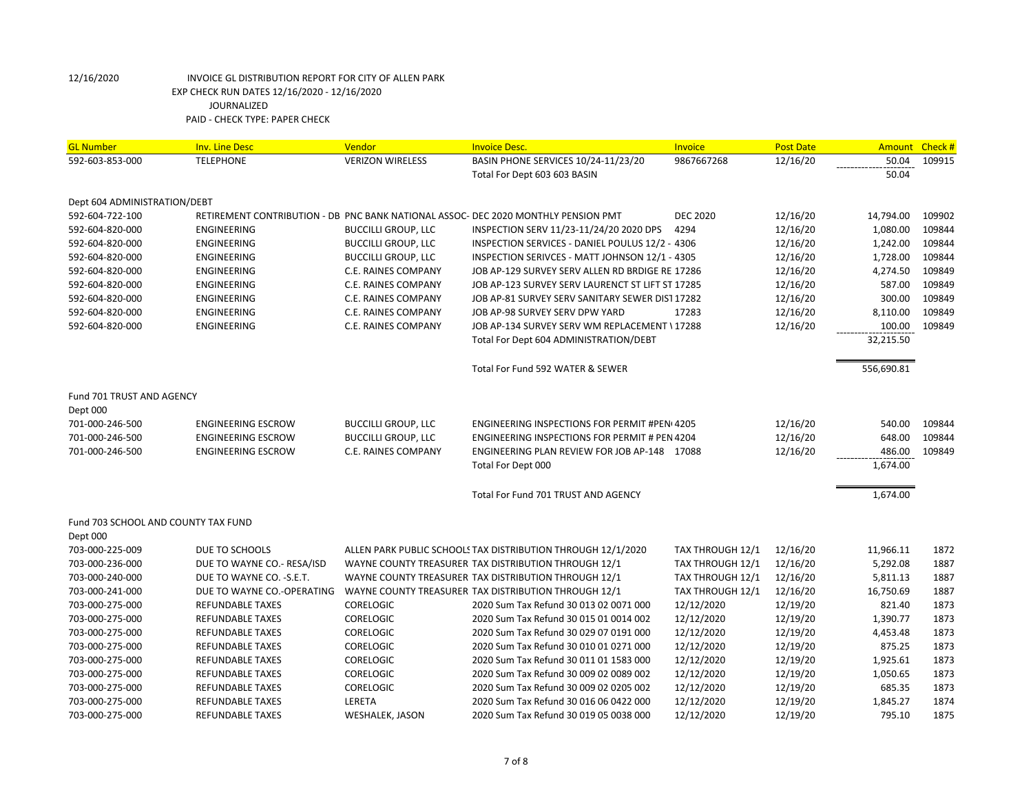| <b>TELEPHONE</b><br><b>VERIZON WIRELESS</b><br>12/16/20<br>50.04<br>592-603-853-000<br>BASIN PHONE SERVICES 10/24-11/23/20<br>9867667268<br>50.04<br>Total For Dept 603 603 BASIN<br>Dept 604 ADMINISTRATION/DEBT<br>592-604-722-100<br>RETIREMENT CONTRIBUTION - DB PNC BANK NATIONAL ASSOC- DEC 2020 MONTHLY PENSION PMT<br><b>DEC 2020</b><br>12/16/20<br>14,794.00<br>592-604-820-000<br><b>ENGINEERING</b><br><b>BUCCILLI GROUP, LLC</b><br>INSPECTION SERV 11/23-11/24/20 2020 DPS<br>4294<br>12/16/20<br>1,080.00 | 109915<br>109902<br>109844<br>109844<br>109844<br>109849<br>109849<br>109849<br>109849 |
|--------------------------------------------------------------------------------------------------------------------------------------------------------------------------------------------------------------------------------------------------------------------------------------------------------------------------------------------------------------------------------------------------------------------------------------------------------------------------------------------------------------------------|----------------------------------------------------------------------------------------|
|                                                                                                                                                                                                                                                                                                                                                                                                                                                                                                                          |                                                                                        |
|                                                                                                                                                                                                                                                                                                                                                                                                                                                                                                                          |                                                                                        |
|                                                                                                                                                                                                                                                                                                                                                                                                                                                                                                                          |                                                                                        |
|                                                                                                                                                                                                                                                                                                                                                                                                                                                                                                                          |                                                                                        |
|                                                                                                                                                                                                                                                                                                                                                                                                                                                                                                                          |                                                                                        |
|                                                                                                                                                                                                                                                                                                                                                                                                                                                                                                                          |                                                                                        |
| 592-604-820-000<br><b>ENGINEERING</b><br><b>BUCCILLI GROUP, LLC</b><br>INSPECTION SERVICES - DANIEL POULUS 12/2 - 4306<br>12/16/20<br>1,242.00                                                                                                                                                                                                                                                                                                                                                                           |                                                                                        |
| <b>BUCCILLI GROUP, LLC</b><br>INSPECTION SERIVCES - MATT JOHNSON 12/1 - 4305<br>12/16/20<br>1,728.00<br>592-604-820-000<br>ENGINEERING                                                                                                                                                                                                                                                                                                                                                                                   |                                                                                        |
| 4,274.50<br>592-604-820-000<br><b>ENGINEERING</b><br>C.E. RAINES COMPANY<br>JOB AP-129 SURVEY SERV ALLEN RD BRDIGE RE 17286<br>12/16/20                                                                                                                                                                                                                                                                                                                                                                                  |                                                                                        |
| 587.00<br><b>C.E. RAINES COMPANY</b><br>12/16/20<br>592-604-820-000<br>ENGINEERING<br>JOB AP-123 SURVEY SERV LAURENCT ST LIFT ST 17285                                                                                                                                                                                                                                                                                                                                                                                   |                                                                                        |
| 300.00<br>12/16/20<br>592-604-820-000<br>ENGINEERING<br>C.E. RAINES COMPANY<br>JOB AP-81 SURVEY SERV SANITARY SEWER DIST 17282                                                                                                                                                                                                                                                                                                                                                                                           |                                                                                        |
| ENGINEERING<br><b>C.E. RAINES COMPANY</b><br>JOB AP-98 SURVEY SERV DPW YARD<br>12/16/20<br>8,110.00<br>592-604-820-000<br>17283                                                                                                                                                                                                                                                                                                                                                                                          |                                                                                        |
| ENGINEERING<br>C.E. RAINES COMPANY<br>JOB AP-134 SURVEY SERV WM REPLACEMENT \17288<br>12/16/20<br>100.00<br>592-604-820-000                                                                                                                                                                                                                                                                                                                                                                                              | 109849                                                                                 |
| Total For Dept 604 ADMINISTRATION/DEBT<br>32,215.50                                                                                                                                                                                                                                                                                                                                                                                                                                                                      |                                                                                        |
| Total For Fund 592 WATER & SEWER<br>556,690.81                                                                                                                                                                                                                                                                                                                                                                                                                                                                           |                                                                                        |
| Fund 701 TRUST AND AGENCY                                                                                                                                                                                                                                                                                                                                                                                                                                                                                                |                                                                                        |
| Dept 000                                                                                                                                                                                                                                                                                                                                                                                                                                                                                                                 |                                                                                        |
| 701-000-246-500<br><b>ENGINEERING ESCROW</b><br><b>BUCCILLI GROUP, LLC</b><br><b>ENGINEERING INSPECTIONS FOR PERMIT #PEN(4205)</b><br>12/16/20<br>540.00                                                                                                                                                                                                                                                                                                                                                                 | 109844                                                                                 |
| 701-000-246-500<br><b>ENGINEERING ESCROW</b><br><b>BUCCILLI GROUP, LLC</b><br><b>ENGINEERING INSPECTIONS FOR PERMIT # PEN 4204</b><br>12/16/20<br>648.00                                                                                                                                                                                                                                                                                                                                                                 | 109844                                                                                 |
| 701-000-246-500<br><b>ENGINEERING ESCROW</b><br><b>C.E. RAINES COMPANY</b><br>ENGINEERING PLAN REVIEW FOR JOB AP-148 17088<br>12/16/20<br>486.00                                                                                                                                                                                                                                                                                                                                                                         | 109849                                                                                 |
| 1,674.00<br>Total For Dept 000                                                                                                                                                                                                                                                                                                                                                                                                                                                                                           |                                                                                        |
|                                                                                                                                                                                                                                                                                                                                                                                                                                                                                                                          |                                                                                        |
| Total For Fund 701 TRUST AND AGENCY<br>1,674.00                                                                                                                                                                                                                                                                                                                                                                                                                                                                          |                                                                                        |
| Fund 703 SCHOOL AND COUNTY TAX FUND                                                                                                                                                                                                                                                                                                                                                                                                                                                                                      |                                                                                        |
| Dept 000                                                                                                                                                                                                                                                                                                                                                                                                                                                                                                                 |                                                                                        |
| 703-000-225-009<br>DUE TO SCHOOLS<br>ALLEN PARK PUBLIC SCHOOLS TAX DISTRIBUTION THROUGH 12/1/2020<br>TAX THROUGH 12/1<br>12/16/20<br>11,966.11                                                                                                                                                                                                                                                                                                                                                                           | 1872                                                                                   |
| 12/16/20<br>703-000-236-000<br>DUE TO WAYNE CO.- RESA/ISD<br>WAYNE COUNTY TREASURER TAX DISTRIBUTION THROUGH 12/1<br>TAX THROUGH 12/1<br>5,292.08                                                                                                                                                                                                                                                                                                                                                                        | 1887                                                                                   |
| DUE TO WAYNE CO. - S.E.T.<br>WAYNE COUNTY TREASURER TAX DISTRIBUTION THROUGH 12/1<br>TAX THROUGH 12/1<br>12/16/20<br>703-000-240-000<br>5,811.13                                                                                                                                                                                                                                                                                                                                                                         | 1887                                                                                   |
| WAYNE COUNTY TREASURER TAX DISTRIBUTION THROUGH 12/1<br>TAX THROUGH 12/1<br>12/16/20<br>703-000-241-000<br>DUE TO WAYNE CO.-OPERATING<br>16,750.69                                                                                                                                                                                                                                                                                                                                                                       | 1887                                                                                   |
| 12/12/2020<br>12/19/20<br>821.40<br>703-000-275-000<br><b>REFUNDABLE TAXES</b><br><b>CORELOGIC</b><br>2020 Sum Tax Refund 30 013 02 0071 000                                                                                                                                                                                                                                                                                                                                                                             | 1873                                                                                   |
| 703-000-275-000<br><b>REFUNDABLE TAXES</b><br><b>CORELOGIC</b><br>2020 Sum Tax Refund 30 015 01 0014 002<br>12/12/2020<br>12/19/20<br>1,390.77                                                                                                                                                                                                                                                                                                                                                                           | 1873                                                                                   |
| 703-000-275-000<br><b>REFUNDABLE TAXES</b><br><b>CORELOGIC</b><br>2020 Sum Tax Refund 30 029 07 0191 000<br>12/12/2020<br>12/19/20<br>4,453.48                                                                                                                                                                                                                                                                                                                                                                           | 1873                                                                                   |
| <b>REFUNDABLE TAXES</b><br><b>CORELOGIC</b><br>2020 Sum Tax Refund 30 010 01 0271 000<br>12/12/2020<br>12/19/20<br>875.25<br>703-000-275-000                                                                                                                                                                                                                                                                                                                                                                             | 1873                                                                                   |
| <b>CORELOGIC</b><br>12/19/20<br>703-000-275-000<br><b>REFUNDABLE TAXES</b><br>2020 Sum Tax Refund 30 011 01 1583 000<br>12/12/2020<br>1,925.61                                                                                                                                                                                                                                                                                                                                                                           | 1873                                                                                   |
| 12/19/20<br>1,050.65<br>703-000-275-000<br><b>REFUNDABLE TAXES</b><br><b>CORELOGIC</b><br>2020 Sum Tax Refund 30 009 02 0089 002<br>12/12/2020                                                                                                                                                                                                                                                                                                                                                                           | 1873                                                                                   |
| 703-000-275-000<br><b>REFUNDABLE TAXES</b><br><b>CORELOGIC</b><br>2020 Sum Tax Refund 30 009 02 0205 002<br>12/12/2020<br>12/19/20<br>685.35                                                                                                                                                                                                                                                                                                                                                                             | 1873                                                                                   |
| 703-000-275-000<br><b>REFUNDABLE TAXES</b><br>LERETA<br>2020 Sum Tax Refund 30 016 06 0422 000<br>12/12/2020<br>12/19/20<br>1,845.27                                                                                                                                                                                                                                                                                                                                                                                     | 1874                                                                                   |
| 795.10<br>703-000-275-000<br><b>REFUNDABLE TAXES</b><br>2020 Sum Tax Refund 30 019 05 0038 000<br>12/12/2020<br>12/19/20<br>WESHALEK, JASON                                                                                                                                                                                                                                                                                                                                                                              | 1875                                                                                   |